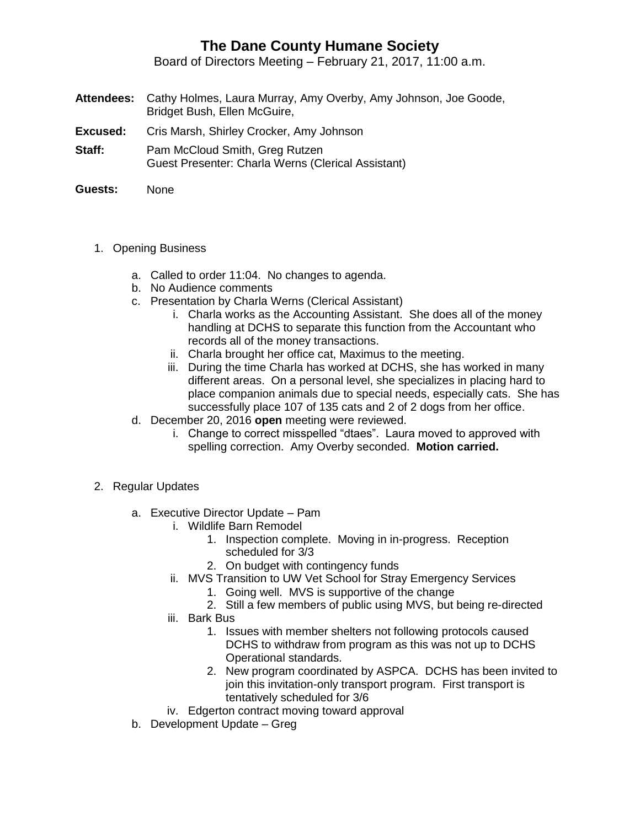## **The Dane County Humane Society**

Board of Directors Meeting – February 21, 2017, 11:00 a.m.

- **Attendees:** Cathy Holmes, Laura Murray, Amy Overby, Amy Johnson, Joe Goode, Bridget Bush, Ellen McGuire,
- **Excused:** Cris Marsh, Shirley Crocker, Amy Johnson
- **Staff:** Pam McCloud Smith, Greg Rutzen Guest Presenter: Charla Werns (Clerical Assistant)
- **Guests:** None
	- 1. Opening Business
		- a. Called to order 11:04. No changes to agenda.
		- b. No Audience comments
		- c. Presentation by Charla Werns (Clerical Assistant)
			- i. Charla works as the Accounting Assistant. She does all of the money handling at DCHS to separate this function from the Accountant who records all of the money transactions.
			- ii. Charla brought her office cat, Maximus to the meeting.
			- iii. During the time Charla has worked at DCHS, she has worked in many different areas. On a personal level, she specializes in placing hard to place companion animals due to special needs, especially cats. She has successfully place 107 of 135 cats and 2 of 2 dogs from her office.
		- d. December 20, 2016 **open** meeting were reviewed.
			- i. Change to correct misspelled "dtaes". Laura moved to approved with spelling correction. Amy Overby seconded. **Motion carried.**
	- 2. Regular Updates
		- a. Executive Director Update Pam
			- i. Wildlife Barn Remodel
				- 1. Inspection complete. Moving in in-progress. Reception scheduled for 3/3
				- 2. On budget with contingency funds
			- ii. MVS Transition to UW Vet School for Stray Emergency Services
				- 1. Going well. MVS is supportive of the change
				- 2. Still a few members of public using MVS, but being re-directed
			- iii. Bark Bus
				- 1. Issues with member shelters not following protocols caused DCHS to withdraw from program as this was not up to DCHS Operational standards.
				- 2. New program coordinated by ASPCA. DCHS has been invited to join this invitation-only transport program. First transport is tentatively scheduled for 3/6
			- iv. Edgerton contract moving toward approval
		- b. Development Update Greg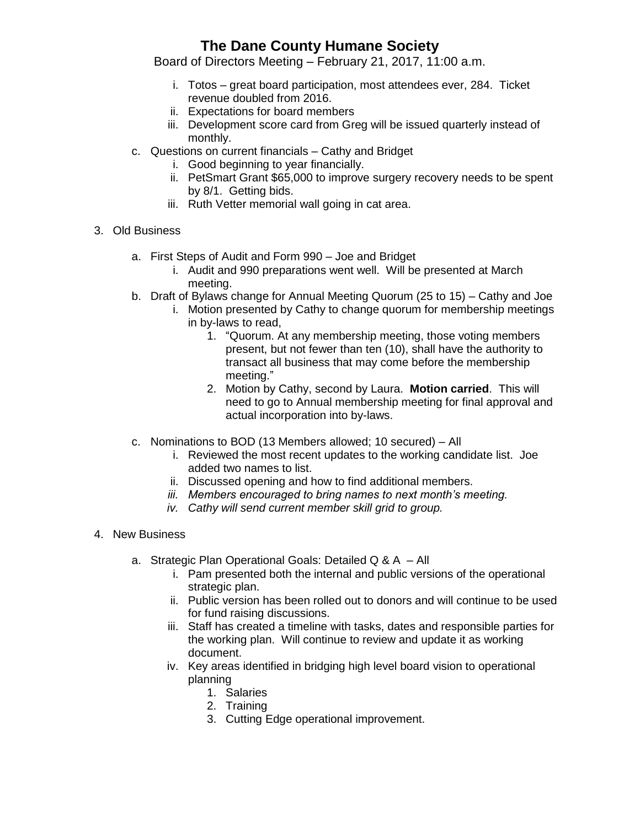## **The Dane County Humane Society**

Board of Directors Meeting – February 21, 2017, 11:00 a.m.

- i. Totos great board participation, most attendees ever, 284. Ticket revenue doubled from 2016.
- ii. Expectations for board members
- iii. Development score card from Greg will be issued quarterly instead of monthly.
- c. Questions on current financials Cathy and Bridget
	- i. Good beginning to year financially.
	- ii. PetSmart Grant \$65,000 to improve surgery recovery needs to be spent by 8/1. Getting bids.
	- iii. Ruth Vetter memorial wall going in cat area.
- 3. Old Business
	- a. First Steps of Audit and Form 990 Joe and Bridget
		- i. Audit and 990 preparations went well. Will be presented at March meeting.
	- b. Draft of Bylaws change for Annual Meeting Quorum (25 to 15) Cathy and Joe
		- i. Motion presented by Cathy to change quorum for membership meetings in by-laws to read,
			- 1. "Quorum. At any membership meeting, those voting members present, but not fewer than ten (10), shall have the authority to transact all business that may come before the membership meeting."
			- 2. Motion by Cathy, second by Laura. **Motion carried**. This will need to go to Annual membership meeting for final approval and actual incorporation into by-laws.
	- c. Nominations to BOD (13 Members allowed; 10 secured) All
		- i. Reviewed the most recent updates to the working candidate list. Joe added two names to list.
		- ii. Discussed opening and how to find additional members.
		- *iii. Members encouraged to bring names to next month's meeting.*
		- *iv. Cathy will send current member skill grid to group.*
- 4. New Business
	- a. Strategic Plan Operational Goals: Detailed Q & A All
		- i. Pam presented both the internal and public versions of the operational strategic plan.
		- ii. Public version has been rolled out to donors and will continue to be used for fund raising discussions.
		- iii. Staff has created a timeline with tasks, dates and responsible parties for the working plan. Will continue to review and update it as working document.
		- iv. Key areas identified in bridging high level board vision to operational planning
			- 1. Salaries
			- 2. Training
			- 3. Cutting Edge operational improvement.